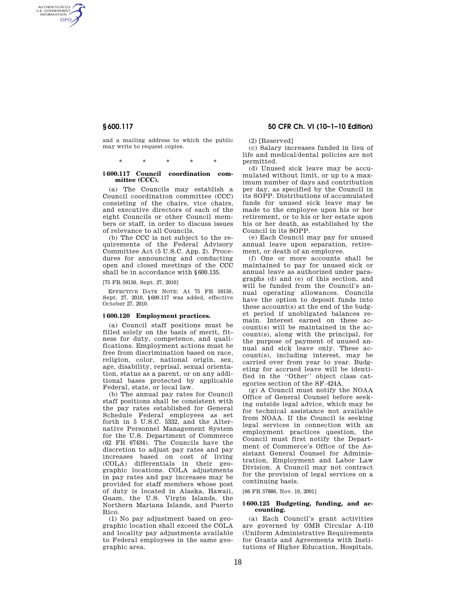AUTHENTICATED<br>U.S. GOVERNMENT<br>INFORMATION **GPO** 

> and a mailing address to which the public may write to request copies.

> > \* \* \* \* \*

#### **§ 600.117 Council coordination committee (CCC).**

(a) The Councils may establish a Council coordination committee (CCC) consisting of the chairs, vice chairs, and executive directors of each of the eight Councils or other Council members or staff, in order to discuss issues of relevance to all Councils.

(b) The CCC is not subject to the requirements of the Federal Advisory Committee Act (5 U.S.C. App. 2). Procedures for announcing and conducting open and closed meetings of the CCC shall be in accordance with §600.135.

[75 FR 59150, Sept. 27, 2010]

EFFECTIVE DATE NOTE: At 75 FR 59150, Sept. 27, 2010, §600.117 was added, effective October 27, 2010.

# **§ 600.120 Employment practices.**

(a) Council staff positions must be filled solely on the basis of merit, fitness for duty, competence, and qualifications. Employment actions must be free from discrimination based on race, religion, color, national origin, sex, age, disability, reprisal, sexual orientation, status as a parent, or on any additional bases protected by applicable Federal, state, or local law.

(b) The annual pay rates for Council staff positions shall be consistent with the pay rates established for General Schedule Federal employees as set forth in 5 U.S.C. 5332, and the Alternative Personnel Management System for the U.S. Department of Commerce (62 FR 67434). The Councils have the discretion to adjust pay rates and pay increases based on cost of living (COLA) differentials in their geographic locations. COLA adjustments in pay rates and pay increases may be provided for staff members whose post of duty is located in Alaska, Hawaii, Guam, the U.S. Virgin Islands, the Northern Mariana Islands, and Puerto Rico.

(1) No pay adjustment based on geographic location shall exceed the COLA and locality pay adjustments available to Federal employees in the same geographic area.

# **§ 600.117 50 CFR Ch. VI (10–1–10 Edition)**

(2) [Reserved]

(c) Salary increases funded in lieu of life and medical/dental policies are not permitted.

(d) Unused sick leave may be accumulated without limit, or up to a maximum number of days and contribution per day, as specified by the Council in its SOPP. Distributions of accumulated funds for unused sick leave may be made to the employee upon his or her retirement, or to his or her estate upon his or her death, as established by the Council in its SOPP.

(e) Each Council may pay for unused annual leave upon separation, retirement, or death of an employee.

(f) One or more accounts shall be maintained to pay for unused sick or annual leave as authorized under paragraphs (d) and (e) of this section, and will be funded from the Council's annual operating allowances. Councils have the option to deposit funds into these account(s) at the end of the budget period if unobligated balances remain. Interest earned on these account(s) will be maintained in the account(s), along with the principal, for the purpose of payment of unused annual and sick leave only. These account(s), including interest, may be carried over from year to year. Budgeting for accrued leave will be identified in the ''Other'' object class categories section of the SF–424A.

(g) A Council must notify the NOAA Office of General Counsel before seeking outside legal advice, which may be for technical assistance not available from NOAA. If the Council is seeking legal services in connection with an employment practices question, the Council must first notify the Department of Commerce's Office of the Assistant General Counsel for Administration, Employment and Labor Law Division. A Council may not contract for the provision of legal services on a continuing basis.

[66 FR 57886, Nov. 19, 2001]

#### **§ 600.125 Budgeting, funding, and accounting.**

(a) Each Council's grant activities are governed by OMB Circular A-110 (Uniform Administrative Requirements for Grants and Agreements with Institutions of Higher Education, Hospitals,